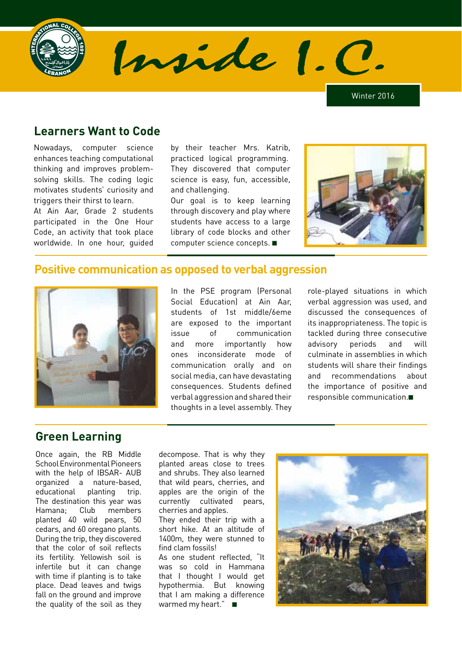

Inside 1. C

Winter 2016

## **Learners Want to Code**

Nowadays, computer science enhances teaching computational thinking and improves problemsolving skills. The coding logic motivates students' curiosity and triggers their thirst to learn.

At Ain Aar, Grade 2 students participated in the One Hour Code, an activity that took place worldwide. In one hour, guided

by their teacher Mrs. Katrib, practiced logical programming. They discovered that computer science is easy, fun, accessible, and challenging.

Our goal is to keep learning through discovery and play where students have access to a large library of code blocks and other computer science concepts. ■



#### **Positive communication as opposed to verbal aggression**



In the PSE program (Personal Social Education) at Ain Aar, students of 1st middle/6eme are exposed to the important issue of communication and more importantly how ones inconsiderate mode of communication orally and on social media, can have devastating consequences. Students defined verbal aggression and shared their thoughts in a level assembly. They

role-played situations in which verbal aggression was used, and discussed the consequences of its inappropriateness. The topic is tackled during three consecutive advisory periods and will culminate in assemblies in which students will share their findings and recommendations about the importance of positive and responsible communication.■

# **Green Learning**

Once again, the RB Middle School Environmental Pioneers with the help of IBSAR- AUB organized a nature-based, educational planting trip. The destination this year was Hamana; Club members planted 40 wild pears, 50 cedars, and 60 oregano plants. During the trip, they discovered that the color of soil reflects its fertility. Yellowish soil is infertile but it can change with time if planting is to take place. Dead leaves and twigs fall on the ground and improve the quality of the soil as they decompose. That is why they planted areas close to trees and shrubs. They also learned that wild pears, cherries, and apples are the origin of the currently cultivated pears, cherries and apples. They ended their trip with a short hike. At an altitude of 1400m, they were stunned to find clam fossils! As one student reflected, "It was so cold in Hammana that I thought I would get hypothermia. But knowing that I am making a difference

warmed my heart." ■

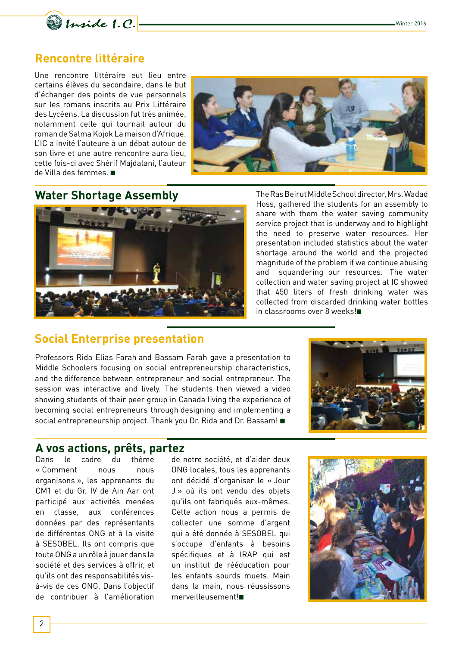

## **Rencontre littéraire**

Une rencontre littéraire eut lieu entre certains élèves du secondaire, dans le but d'échanger des points de vue personnels sur les romans inscrits au Prix Littéraire des Lycéens. La discussion fut très animée, notamment celle qui tournait autour du roman de Salma Kojok La maison d'Afrique. L'IC a invité l'auteure à un débat autour de son livre et une autre rencontre aura lieu, cette fois-ci avec Shérif Majdalani, l'auteur de Villa des femmes. ■



## **Water Shortage Assembly**



The Ras Beirut Middle School director, Mrs. Wadad Hoss, gathered the students for an assembly to share with them the water saving community service project that is underway and to highlight the need to preserve water resources. Her presentation included statistics about the water shortage around the world and the projected magnitude of the problem if we continue abusing and squandering our resources. The water collection and water saving project at IC showed that 450 liters of fresh drinking water was collected from discarded drinking water bottles in classrooms over 8 weeks!■

#### **Social Enterprise presentation**

Professors Rida Elias Farah and Bassam Farah gave a presentation to Middle Schoolers focusing on social entrepreneurship characteristics, and the difference between entrepreneur and social entrepreneur. The session was interactive and lively. The students then viewed a video showing students of their peer group in Canada living the experience of becoming social entrepreneurs through designing and implementing a social entrepreneurship project. Thank you Dr. Rida and Dr. Bassam!■



#### **A vos actions, prêts, partez**

Dans le cadre du thème « Comment nous nous organisons », les apprenants du CM1 et du Gr. IV de Ain Aar ont participé aux activités menées en classe, aux conférences données par des représentants de différentes ONG et à la visite à SESOBEL. Ils ont compris que toute ONG a un rôle à jouer dans la société et des services à offrir, et qu'ils ont des responsabilités visà-vis de ces ONG. Dans l'objectif de contribuer à l'amélioration

de notre société, et d'aider deux ONG locales, tous les apprenants ont décidé d'organiser le « Jour J » où ils ont vendu des objets qu'ils ont fabriqués eux-mêmes. Cette action nous a permis de collecter une somme d'argent qui a été donnée à SESOBEL qui s'occupe d'enfants à besoins spécifiques et à IRAP qui est un institut de rééducation pour les enfants sourds muets. Main dans la main, nous réussissons merveilleusement!■

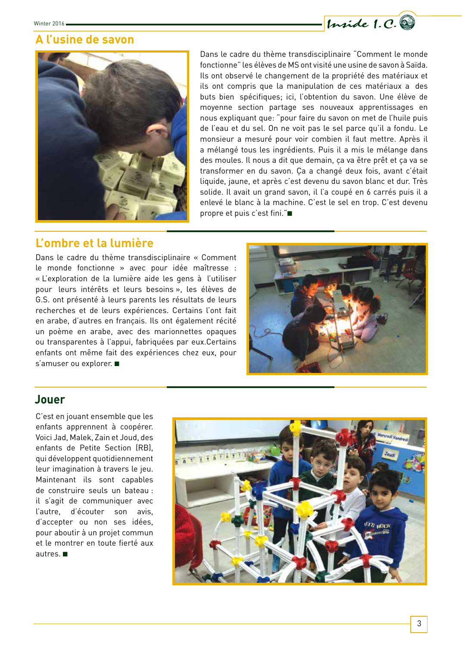

#### **A l'usine de savon**



Dans le cadre du thème transdisciplinaire "Comment le monde fonctionne" les élèves de MS ont visité une usine de savon à Saïda. Ils ont observé le changement de la propriété des matériaux et ils ont compris que la manipulation de ces matériaux a des buts bien spécifiques; ici, l'obtention du savon. Une élève de moyenne section partage ses nouveaux apprentissages en nous expliquant que: "pour faire du savon on met de l'huile puis de l'eau et du sel. On ne voit pas le sel parce qu'il a fondu. Le monsieur a mesuré pour voir combien il faut mettre. Après il a mélangé tous les ingrédients. Puis il a mis le mélange dans des moules. Il nous a dit que demain, ça va être prêt et ça va se transformer en du savon. Ça a changé deux fois, avant c'était liquide, jaune, et après c'est devenu du savon blanc et dur. Très solide. Il avait un grand savon, il l'a coupé en 6 carrés puis il a enlevé le blanc à la machine. C'est le sel en trop. C'est devenu propre et puis c'est fini."■

## **L'ombre et la lumière**

Dans le cadre du thème transdisciplinaire « Comment le monde fonctionne » avec pour idée maîtresse : « L'exploration de la lumière aide les gens à l'utiliser pour leurs intérêts et leurs besoins », les élèves de G.S. ont présenté à leurs parents les résultats de leurs recherches et de leurs expériences. Certains l'ont fait en arabe, d'autres en français. Ils ont également récité un poème en arabe, avec des marionnettes opaques ou transparentes à l'appui, fabriquées par eux.Certains enfants ont même fait des expériences chez eux, pour s'amuser ou explorer. ■



#### **Jouer**

C'est en jouant ensemble que les enfants apprennent à coopérer. Voici Jad, Malek, Zain et Joud, des enfants de Petite Section (RB), qui développent quotidiennement leur imagination à travers le jeu. Maintenant ils sont capables de construire seuls un bateau : il s'agit de communiquer avec l'autre, d'écouter son avis, d'accepter ou non ses idées, pour aboutir à un projet commun et le montrer en toute fierté aux autres. ■

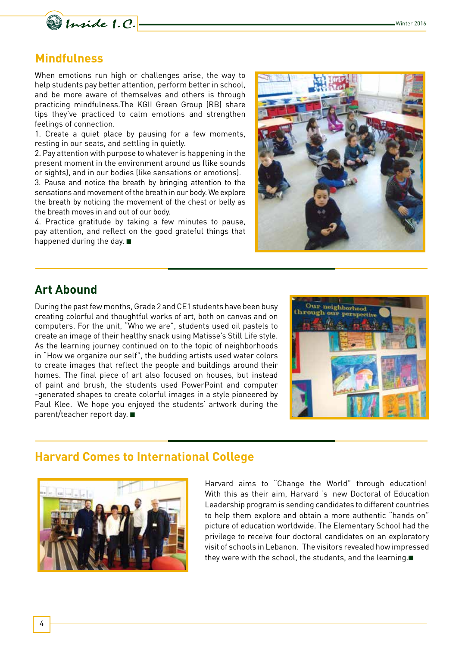

#### **Mindfulness**

When emotions run high or challenges arise, the way to help students pay better attention, perform better in school, and be more aware of themselves and others is through practicing mindfulness.The KGII Green Group (RB) share tips they've practiced to calm emotions and strengthen feelings of connection.

1. Create a quiet place by pausing for a few moments, resting in our seats, and settling in quietly.

2. Pay attention with purpose to whatever is happening in the present moment in the environment around us (like sounds or sights), and in our bodies (like sensations or emotions).

3. Pause and notice the breath by bringing attention to the sensations and movement of the breath in our body. We explore the breath by noticing the movement of the chest or belly as the breath moves in and out of our body.

4. Practice gratitude by taking a few minutes to pause, pay attention, and reflect on the good grateful things that happened during the day. ■



## **Art Abound**

During the past few months, Grade 2 and CE1 students have been busy creating colorful and thoughtful works of art, both on canvas and on computers. For the unit, "Who we are", students used oil pastels to create an image of their healthy snack using Matisse's Still Life style. As the learning journey continued on to the topic of neighborhoods in "How we organize our self", the budding artists used water colors to create images that reflect the people and buildings around their homes. The final piece of art also focused on houses, but instead of paint and brush, the students used PowerPoint and computer -generated shapes to create colorful images in a style pioneered by Paul Klee. We hope you enjoyed the students' artwork during the parent/teacher report day. ■



## **Harvard Comes to International College**



Harvard aims to "Change the World" through education! With this as their aim, Harvard 's new Doctoral of Education Leadership program is sending candidates to different countries to help them explore and obtain a more authentic "hands on" picture of education worldwide. The Elementary School had the privilege to receive four doctoral candidates on an exploratory visit of schools in Lebanon. The visitors revealed how impressed they were with the school, the students, and the learning.■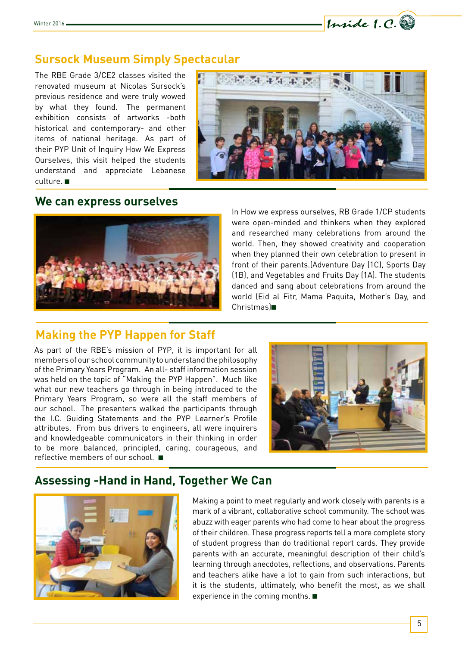

The RBE Grade 3/CE2 classes visited the renovated museum at Nicolas Sursock's previous residence and were truly wowed by what they found. The permanent exhibition consists of artworks -both historical and contemporary- and other items of national heritage. As part of their PYP Unit of Inquiry How We Express Ourselves, this visit helped the students understand and appreciate Lebanese culture. ■



Inside 1.C.

#### **We can express ourselves**



In How we express ourselves, RB Grade 1/CP students were open-minded and thinkers when they explored and researched many celebrations from around the world. Then, they showed creativity and cooperation when they planned their own celebration to present in front of their parents.(Adventure Day (1C), Sports Day (1B), and Vegetables and Fruits Day (1A). The students danced and sang about celebrations from around the world (Eid al Fitr, Mama Paquita, Mother's Day, and Christmas)■

## **Making the PYP Happen for Staff**

As part of the RBE's mission of PYP, it is important for all members of our school community to understand the philosophy of the Primary Years Program. An all- staff information session was held on the topic of "Making the PYP Happen". Much like what our new teachers go through in being introduced to the Primary Years Program, so were all the staff members of our school. The presenters walked the participants through the I.C. Guiding Statements and the PYP Learner's Profile attributes. From bus drivers to engineers, all were inquirers and knowledgeable communicators in their thinking in order to be more balanced, principled, caring, courageous, and reflective members of our school. ■



## **Assessing -Hand in Hand, Together We Can**



Making a point to meet regularly and work closely with parents is a mark of a vibrant, collaborative school community. The school was abuzz with eager parents who had come to hear about the progress of their children. These progress reports tell a more complete story of student progress than do traditional report cards. They provide parents with an accurate, meaningful description of their child's learning through anecdotes, reflections, and observations. Parents and teachers alike have a lot to gain from such interactions, but it is the students, ultimately, who benefit the most, as we shall experience in the coming months. ■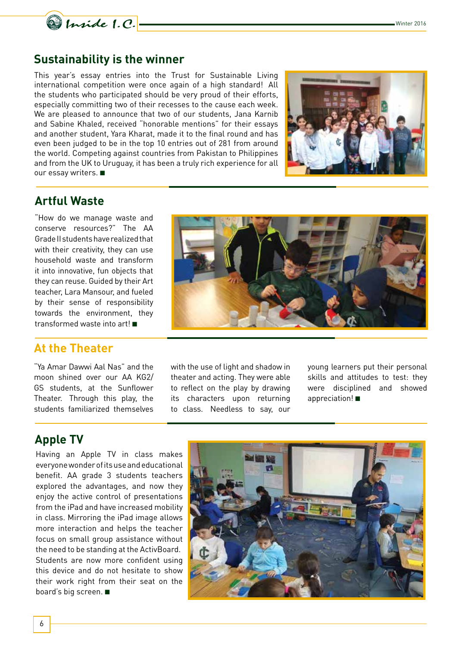

#### **Sustainability is the winner**

This year's essay entries into the Trust for Sustainable Living international competition were once again of a high standard! All the students who participated should be very proud of their efforts, especially committing two of their recesses to the cause each week. We are pleased to announce that two of our students, Jana Karnib and Sabine Khaled, received "honorable mentions" for their essays and another student, Yara Kharat, made it to the final round and has even been judged to be in the top 10 entries out of 281 from around the world. Competing against countries from Pakistan to Philippines and from the UK to Uruguay, it has been a truly rich experience for all our essay writers. ■



## **Artful Waste**

"How do we manage waste and conserve resources?" The AA Grade II students have realized that with their creativity, they can use household waste and transform it into innovative, fun objects that they can reuse. Guided by their Art teacher, Lara Mansour, and fueled by their sense of responsibility towards the environment, they transformed waste into art! ■

#### **At the Theater**

"Ya Amar Dawwi Aal Nas" and the moon shined over our AA KG2/ GS students, at the Sunflower Theater. Through this play, the students familiarized themselves



with the use of light and shadow in theater and acting. They were able to reflect on the play by drawing its characters upon returning to class. Needless to say, our

young learners put their personal skills and attitudes to test: they were disciplined and showed appreciation! ■

# **Apple TV**

Having an Apple TV in class makes everyone wonder of its use and educational benefit. AA grade 3 students teachers explored the advantages, and now they enjoy the active control of presentations from the iPad and have increased mobility in class. Mirroring the iPad image allows more interaction and helps the teacher focus on small group assistance without the need to be standing at the ActivBoard. Students are now more confident using this device and do not hesitate to show their work right from their seat on the board's big screen. ■

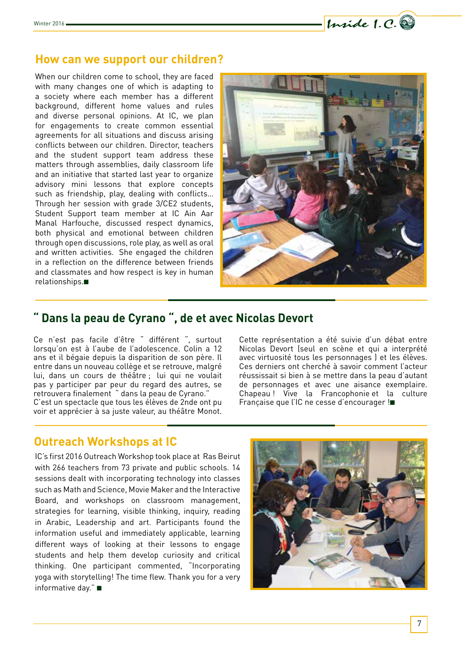

#### **How can we support our children?**

When our children come to school, they are faced with many changes one of which is adapting to a society where each member has a different background, different home values and rules and diverse personal opinions. At IC, we plan for engagements to create common essential agreements for all situations and discuss arising conflicts between our children. Director, teachers and the student support team address these matters through assemblies, daily classroom life and an initiative that started last year to organize advisory mini lessons that explore concepts such as friendship, play, dealing with conflicts… Through her session with grade 3/CE2 students, Student Support team member at IC Ain Aar Manal Harfouche, discussed respect dynamics, both physical and emotional between children through open discussions, role play, as well as oral and written activities. She engaged the children in a reflection on the difference between friends and classmates and how respect is key in human relationships.■



## **" Dans la peau de Cyrano ", de et avec Nicolas Devort**

Ce n'est pas facile d'être " différent ", surtout lorsqu'on est à l'aube de l'adolescence. Colin a 12 ans et il bégaie depuis la disparition de son père. Il entre dans un nouveau collège et se retrouve, malgré lui, dans un cours de théâtre ; lui qui ne voulait pas y participer par peur du regard des autres, se retrouvera finalement " dans la peau de Cyrano." C'est un spectacle que tous les élèves de 2nde ont pu voir et apprécier à sa juste valeur, au théâtre Monot.

Cette représentation a été suivie d'un débat entre Nicolas Devort (seul en scène et qui a interprété avec virtuosité tous les personnages ) et les élèves. Ces derniers ont cherché à savoir comment l'acteur réussissait si bien à se mettre dans la peau d'autant de personnages et avec une aisance exemplaire. Chapeau ! Vive la Francophonie et la culture Française que l'IC ne cesse d'encourager !■

## **Outreach Workshops at IC**

IC's first 2016 Outreach Workshop took place at Ras Beirut with 266 teachers from 73 private and public schools. 14 sessions dealt with incorporating technology into classes such as Math and Science, Movie Maker and the Interactive Board, and workshops on classroom management, strategies for learning, visible thinking, inquiry, reading in Arabic, Leadership and art. Participants found the information useful and immediately applicable, learning different ways of looking at their lessons to engage students and help them develop curiosity and critical thinking. One participant commented, "Incorporating yoga with storytelling! The time flew. Thank you for a very informative day." ■

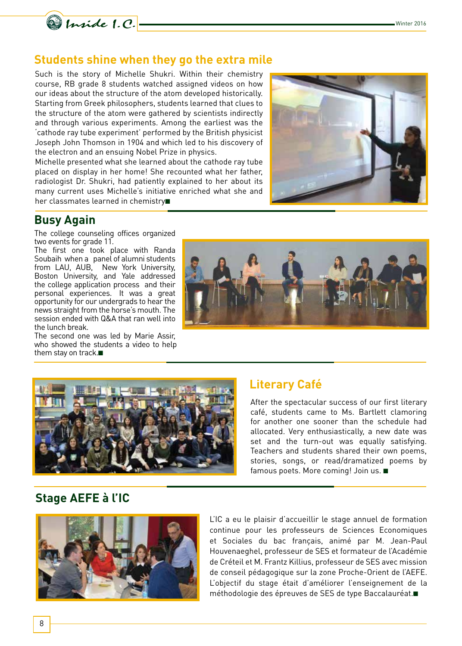

## **Students shine when they go the extra mile**

Such is the story of Michelle Shukri. Within their chemistry course, RB grade 8 students watched assigned videos on how our ideas about the structure of the atom developed historically. Starting from Greek philosophers, students learned that clues to the structure of the atom were gathered by scientists indirectly and through various experiments. Among the earliest was the 'cathode ray tube experiment' performed by the British physicist Joseph John Thomson in 1904 and which led to his discovery of the electron and an ensuing Nobel Prize in physics.

Michelle presented what she learned about the cathode ray tube placed on display in her home! She recounted what her father, radiologist Dr. Shukri, had patiently explained to her about its many current uses Michelle's initiative enriched what she and her classmates learned in chemistry■



## **Busy Again**

The college counseling offices organized two events for grade 11.

The first one took place with Randa Soubaih when a panel of alumni students from LAU, AUB, New York University, Boston University, and Yale addressed the college application process and their personal experiences. It was a great opportunity for our undergrads to hear the news straight from the horse's mouth. The session ended with Q&A that ran well into the lunch break.

The second one was led by Marie Assir, who showed the students a video to help them stay on track.■





# **Literary Café**

After the spectacular success of our first literary café, students came to Ms. Bartlett clamoring for another one sooner than the schedule had allocated. Very enthusiastically, a new date was set and the turn-out was equally satisfying. Teachers and students shared their own poems, stories, songs, or read/dramatized poems by famous poets. More coming! Join us. ■

# **Stage AEFE à l'IC**



L'IC a eu le plaisir d'accueillir le stage annuel de formation continue pour les professeurs de Sciences Economiques et Sociales du bac français, animé par M. Jean-Paul Houvenaeghel, professeur de SES et formateur de l'Académie de Créteil et M. Frantz Killius, professeur de SES avec mission de conseil pédagogique sur la zone Proche-Orient de l'AEFE. L'objectif du stage était d'améliorer l'enseignement de la méthodologie des épreuves de SES de type Baccalauréat.■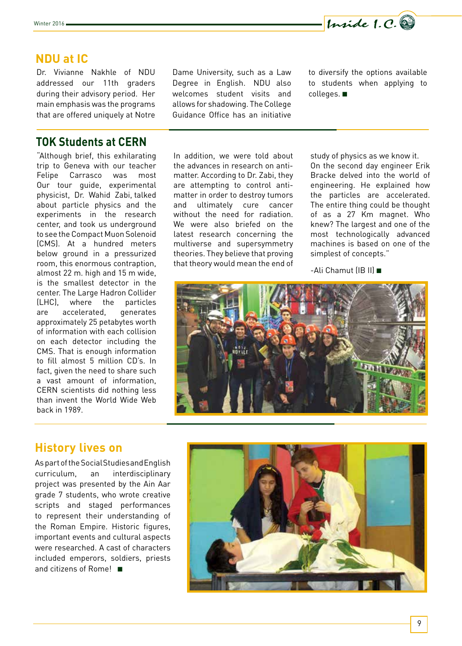

#### **NDU at IC**

Dr. Vivianne Nakhle of NDU addressed our 11th graders during their advisory period. Her main emphasis was the programs that are offered uniquely at Notre

#### **TOK Students at CERN**

"Although brief, this exhilarating trip to Geneva with our teacher Felipe Carrasco was most Our tour guide, experimental physicist, Dr. Wahid Zabi, talked about particle physics and the experiments in the research center, and took us underground to see the Compact Muon Solenoid (CMS). At a hundred meters below ground in a pressurized room, this enormous contraption, almost 22 m. high and 15 m wide, is the smallest detector in the center. The Large Hadron Collider (LHC), where the particles are accelerated, generates approximately 25 petabytes worth of information with each collision on each detector including the CMS. That is enough information to fill almost 5 million CD's. In fact, given the need to share such a vast amount of information, CERN scientists did nothing less than invent the World Wide Web back in 1989.

Dame University, such as a Law Degree in English. NDU also welcomes student visits and allows for shadowing. The College Guidance Office has an initiative

In addition, we were told about the advances in research on antimatter. According to Dr. Zabi, they are attempting to control antimatter in order to destroy tumors and ultimately cure cancer without the need for radiation. We were also briefed on the latest research concerning the multiverse and supersymmetry theories. They believe that proving that theory would mean the end of

to diversify the options available to students when applying to colleges. ■

study of physics as we know it. On the second day engineer Erik Bracke delved into the world of engineering. He explained how the particles are accelerated. The entire thing could be thought of as a 27 Km magnet. Who knew? The largest and one of the most technologically advanced machines is based on one of the simplest of concepts."

-Ali Chamut (IB II) ■



#### **History lives on**

As part of the Social Studies and English curriculum, an interdisciplinary project was presented by the Ain Aar grade 7 students, who wrote creative scripts and staged performances to represent their understanding of the Roman Empire. Historic figures, important events and cultural aspects were researched. A cast of characters included emperors, soldiers, priests and citizens of Rome! ■

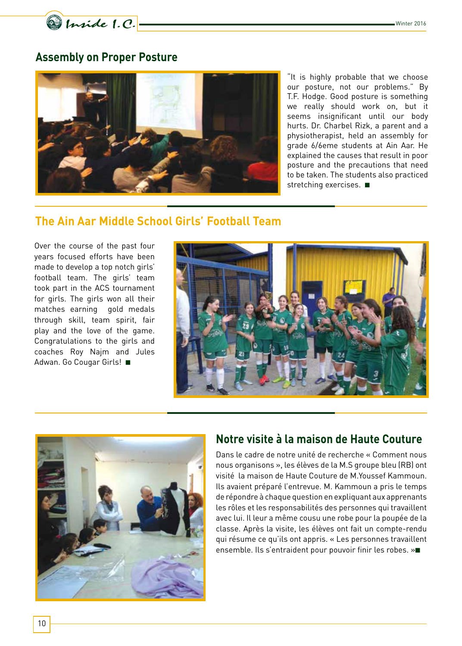Minide 1.C.

## **Assembly on Proper Posture**



"It is highly probable that we choose our posture, not our problems." By T.F. Hodge. Good posture is something we really should work on, but it seems insignificant until our body hurts. Dr. Charbel Rizk, a parent and a physiotherapist, held an assembly for grade 6/6eme students at Ain Aar. He explained the causes that result in poor posture and the precautions that need to be taken. The students also practiced stretching exercises. ■

### **The Ain Aar Middle School Girls' Football Team**

Over the course of the past four years focused efforts have been made to develop a top notch girls' football team. The girls' team took part in the ACS tournament for girls. The girls won all their matches earning gold medals through skill, team spirit, fair play and the love of the game. Congratulations to the girls and coaches Roy Najm and Jules Adwan. Go Cougar Girls! ■





## **Notre visite à la maison de Haute Couture**

Dans le cadre de notre unité de recherche « Comment nous nous organisons », les élèves de la M.S groupe bleu (RB) ont visité la maison de Haute Couture de M.Youssef Kammoun. Ils avaient préparé l'entrevue. M. Kammoun a pris le temps de répondre à chaque question en expliquant aux apprenants les rôles et les responsabilités des personnes qui travaillent avec lui. Il leur a même cousu une robe pour la poupée de la classe. Après la visite, les élèves ont fait un compte-rendu qui résume ce qu'ils ont appris. « Les personnes travaillent ensemble. Ils s'entraident pour pouvoir finir les robes. »■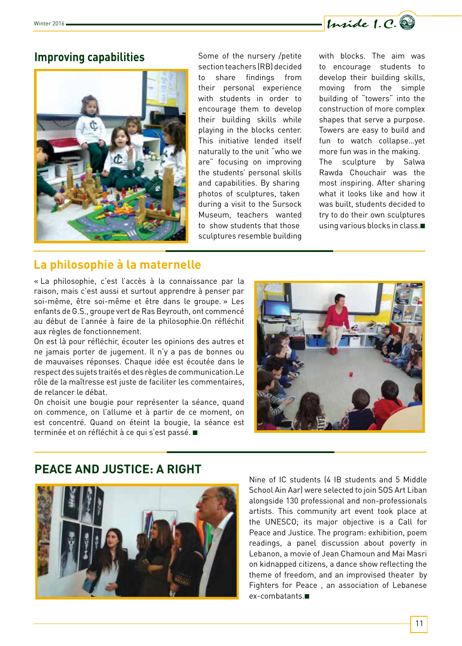

#### **Improving capabilities** Some of the nursery /petite



section teachers (RB) decided to share findings from their personal experience with students in order to encourage them to develop their building skills while playing in the blocks center. This initiative lended itself naturally to the unit "who we are" focusing on improving the students' personal skills and capabilities. By sharing photos of sculptures, taken during a visit to the Sursock Museum, teachers wanted to show students that those sculptures resemble building

with blocks. The aim was to encourage students to develop their building skills, moving from the simple building of "towers" into the construction of more complex shapes that serve a purpose. Towers are easy to build and fun to watch collapse…yet more fun was in the making. The sculpture by Salwa Rawda Chouchair was the most inspiring. After sharing what it looks like and how it was built, students decided to try to do their own sculptures using various blocks in class.■

## **La philosophie à la maternelle**

« La philosophie, c'est l'accès à la connaissance par la raison, mais c'est aussi et surtout apprendre à penser par soi-même, être soi-même et être dans le groupe. » Les enfants de G.S., groupe vert de Ras Beyrouth, ont commencé au début de l'année à faire de la philosophie.On réfléchit aux règles de fonctionnement.

On est là pour réfléchir, écouter les opinions des autres et ne jamais porter de jugement. Il n'y a pas de bonnes ou de mauvaises réponses. Chaque idée est écoutée dans le respect des sujets traités et des règles de communication.Le rôle de la maîtresse est juste de faciliter les commentaires, de relancer le débat.

On choisit une bougie pour représenter la séance, quand on commence, on l'allume et à partir de ce moment, on est concentré. Quand on éteint la bougie, la séance est terminée et on réfléchit à ce qui s'est passé. ■



# **PEACE AND JUSTICE: A RIGHT**



Nine of IC students (4 IB students and 5 Middle School Ain Aar) were selected to join SOS Art Liban alongside 130 professional and non-professionals artists. This community art event took place at the UNESCO; its major objective is a Call for Peace and Justice. The program: exhibition, poem readings, a panel discussion about poverty in Lebanon, a movie of Jean Chamoun and Mai Masri on kidnapped citizens, a dance show reflecting the theme of freedom, and an improvised theater by Fighters for Peace , an association of Lebanese ex-combatants.■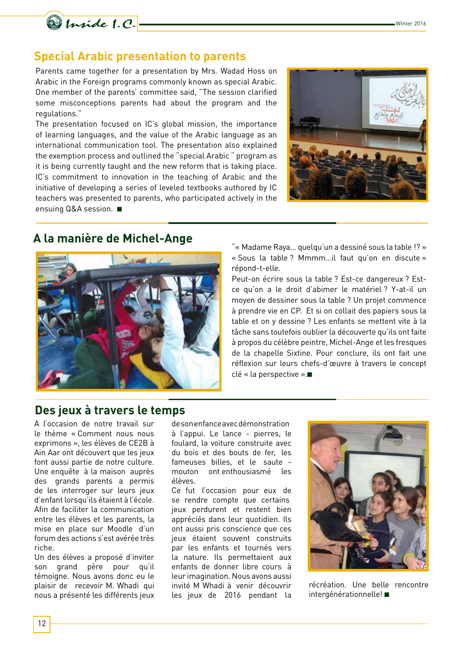



## **Special Arabic presentation to parents**

Parents came together for a presentation by Mrs. Wadad Hoss on Arabic in the Foreign programs commonly known as special Arabic. One member of the parents' committee said, "The session clarified some misconceptions parents had about the program and the regulations."

The presentation focused on IC's global mission, the importance of learning languages, and the value of the Arabic language as an international communication tool. The presentation also explained the exemption process and outlined the "special Arabic " program as it is being currently taught and the new reform that is taking place. IC's commitment to innovation in the teaching of Arabic and the initiative of developing a series of leveled textbooks authored by IC teachers was presented to parents, who participated actively in the ensuing Q&A session. ■



## **A la manière de Michel-Ange**



"« Madame Raya… quelqu'un a dessiné sous la table !? » « Sous la table ? Mmmm…il faut qu'on en discute » répond-t-elle.

Peut-on écrire sous la table ? Est-ce dangereux ? Estce qu'on a le droit d'abimer le matériel ? Y-at-il un moyen de dessiner sous la table ? Un projet commence à prendre vie en CP. Et si on collait des papiers sous la table et on y dessine ? Les enfants se mettent vite à la tâche sans toutefois oublier la découverte qu'ils ont faite à propos du célèbre peintre, Michel-Ange et les fresques de la chapelle Sixtine. Pour conclure, ils ont fait une réflexion sur leurs chefs-d'œuvre à travers le concept clé « la perspective ».■

# **Des jeux à travers le temps**

A l'occasion de notre travail sur le thème « Comment nous nous exprimons », les élèves de CE2B à Ain Aar ont découvert que les jeux font aussi partie de notre culture. Une enquête à la maison auprès des grands parents a permis de les interroger sur leurs jeux d'enfant lorsqu'ils étaient à l'école. Afin de faciliter la communication entre les élèves et les parents, la mise en place sur Moodle d'un forum des actions s'est avérée très riche.

Un des élèves a proposé d'inviter son grand père pour qu'il témoigne. Nous avons donc eu le plaisir de recevoir M. Whadi qui nous a présenté les différents jeux de son enfance avec démonstration à l'appui. Le lance - pierres, le foulard, la voiture construite avec du bois et des bouts de fer, les fameuses billes, et le saute mouton ont enthousiasmé les élèves.

Ce fut l'occasion pour eux de se rendre compte que certains jeux perdurent et restent bien appréciés dans leur quotidien. Ils ont aussi pris conscience que ces jeux étaient souvent construits par les enfants et tournés vers la nature. Ils permettaient aux enfants de donner libre cours à leur imagination. Nous avons aussi invité M Whadi à venir découvrir les jeux de 2016 pendant la



récréation. Une belle rencontre intergénérationnelle! ■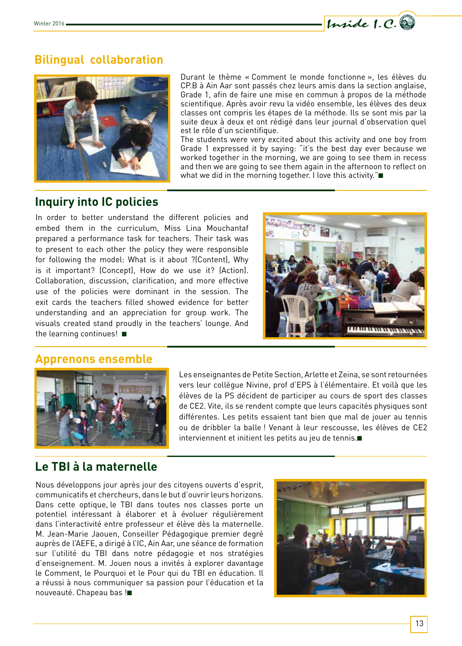

# **Bilingual collaboration**



Durant le thème « Comment le monde fonctionne », les élèves du CP.B à Ain Aar sont passés chez leurs amis dans la section anglaise, Grade 1, afin de faire une mise en commun à propos de la méthode scientifique. Après avoir revu la vidéo ensemble, les élèves des deux classes ont compris les étapes de la méthode. Ils se sont mis par la suite deux à deux et ont rédigé dans leur journal d'observation quel est le rôle d'un scientifique.

The students were very excited about this activity and one boy from Grade 1 expressed it by saying: "it's the best day ever because we worked together in the morning, we are going to see them in recess and then we are going to see them again in the afternoon to reflect on what we did in the morning together. I love this activity."■

## **Inquiry into IC policies**

In order to better understand the different policies and embed them in the curriculum, Miss Lina Mouchantaf prepared a performance task for teachers. Their task was to present to each other the policy they were responsible for following the model: What is it about ?(Content), Why is it important? (Concept), How do we use it? (Action). Collaboration, discussion, clarification, and more effective use of the policies were dominant in the session. The exit cards the teachers filled showed evidence for better understanding and an appreciation for group work. The visuals created stand proudly in the teachers' lounge. And the learning continues! ■







Les enseignantes de Petite Section, Arlette et Zeina, se sont retournées vers leur collègue Nivine, prof d'EPS à l'élémentaire. Et voilà que les élèves de la PS décident de participer au cours de sport des classes de CE2. Vite, ils se rendent compte que leurs capacités physiques sont différentes. Les petits essaient tant bien que mal de jouer au tennis ou de dribbler la balle ! Venant à leur rescousse, les élèves de CE2 interviennent et initient les petits au jeu de tennis.■

# **Le TBI à la maternelle**

Nous développons jour après jour des citoyens ouverts d'esprit, communicatifs et chercheurs, dans le but d'ouvrir leurs horizons. Dans cette optique, le TBI dans toutes nos classes porte un potentiel intéressant à élaborer et à évoluer régulièrement dans l'interactivité entre professeur et élève dès la maternelle. M. Jean-Marie Jaouen, Conseiller Pédagogique premier degré auprès de l'AEFE, a dirigé à l'IC, Ain Aar, une séance de formation sur l'utilité du TBI dans notre pédagogie et nos stratégies d'enseignement. M. Jouen nous a invités à explorer davantage le Comment, le Pourquoi et le Pour qui du TBI en éducation. Il a réussi à nous communiquer sa passion pour l'éducation et la nouveauté. Chapeau bas !■

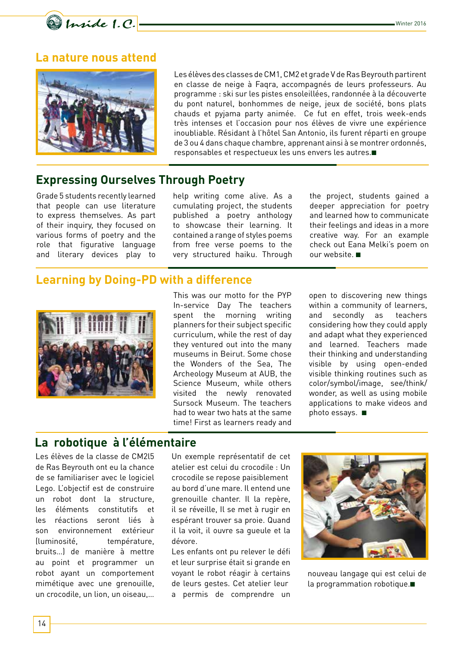

#### **La nature nous attend**



Les élèves des classes de CM1, CM2 et grade V de Ras Beyrouth partirent en classe de neige à Faqra, accompagnés de leurs professeurs. Au programme : ski sur les pistes ensoleillées, randonnée à la découverte du pont naturel, bonhommes de neige, jeux de société, bons plats chauds et pyjama party animée. Ce fut en effet, trois week-ends très intenses et l'occasion pour nos élèves de vivre une expérience inoubliable. Résidant à l'hôtel San Antonio, ils furent réparti en groupe de 3 ou 4 dans chaque chambre, apprenant ainsi à se montrer ordonnés, responsables et respectueux les uns envers les autres.■

## **Expressing Ourselves Through Poetry**

Grade 5 students recently learned that people can use literature to express themselves. As part of their inquiry, they focused on various forms of poetry and the role that figurative language and literary devices play to

help writing come alive. As a cumulating project, the students published a poetry anthology to showcase their learning. It contained a range of styles poems from free verse poems to the very structured haiku. Through the project, students gained a deeper appreciation for poetry and learned how to communicate their feelings and ideas in a more creative way. For an example check out Eana Melki's poem on our website. ■

#### **Learning by Doing-PD with a difference**



This was our motto for the PYP In-service Day The teachers spent the morning writing planners for their subject specific curriculum, while the rest of day they ventured out into the many museums in Beirut. Some chose the Wonders of the Sea, The Archeology Museum at AUB, the Science Museum, while others visited the newly renovated Sursock Museum. The teachers had to wear two hats at the same time! First as learners ready and

open to discovering new things within a community of learners, and secondly as teachers considering how they could apply and adapt what they experienced and learned. Teachers made their thinking and understanding visible by using open-ended visible thinking routines such as color/symbol/image, see/think/ wonder, as well as using mobile applications to make videos and photo essays. ■

## **La robotique à l'élémentaire**

Les élèves de la classe de CM2l5 de Ras Beyrouth ont eu la chance de se familiariser avec le logiciel Lego. L'objectif est de construire un robot dont la structure, les éléments constitutifs et les réactions seront liés à son environnement extérieur (luminosité, température, bruits…) de manière à mettre au point et programmer un robot ayant un comportement mimétique avec une grenouille, un crocodile, un lion, un oiseau,… Un exemple représentatif de cet atelier est celui du crocodile : Un crocodile se repose paisiblement au bord d'une mare. Il entend une grenouille chanter. Il la repère, il se réveille, Il se met à rugir en espérant trouver sa proie. Quand il la voit, il ouvre sa gueule et la dévore.

Les enfants ont pu relever le défi et leur surprise était si grande en voyant le robot réagir à certains de leurs gestes. Cet atelier leur a permis de comprendre un



nouveau langage qui est celui de la programmation robotique.■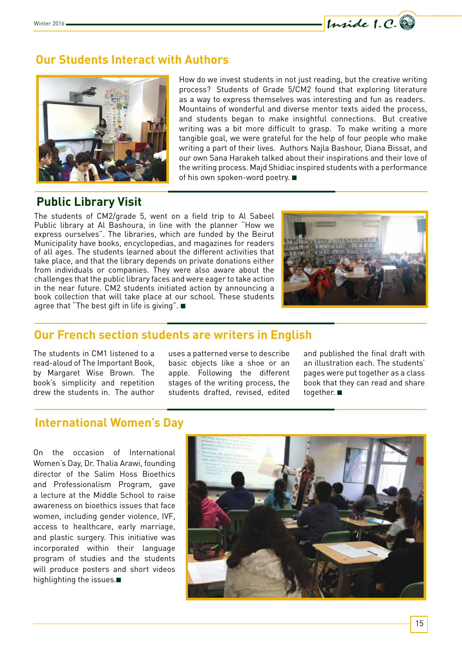

## **Our Students Interact with Authors**



How do we invest students in not just reading, but the creative writing process? Students of Grade 5/CM2 found that exploring literature as a way to express themselves was interesting and fun as readers. Mountains of wonderful and diverse mentor texts aided the process, and students began to make insightful connections. But creative writing was a bit more difficult to grasp. To make writing a more tangible goal, we were grateful for the help of four people who make writing a part of their lives. Authors Najla Bashour, Diana Bissat, and our own Sana Harakeh talked about their inspirations and their love of the writing process. Majd Shidiac inspired students with a performance of his own spoken-word poetry. ■

## **Public Library Visit**

The students of CM2/grade 5, went on a field trip to Al Sabeel Public library at Al Bashoura, in line with the planner "How we express ourselves". The libraries, which are funded by the Beirut Municipality have books, encyclopedias, and magazines for readers of all ages. The students learned about the different activities that take place, and that the library depends on private donations either from individuals or companies. They were also aware about the challenges that the public library faces and were eager to take action in the near future. CM2 students initiated action by announcing a book collection that will take place at our school. These students agree that "The best gift in life is giving". ■



# **Our French section students are writers in English**

The students in CM1 listened to a read-aloud of The Important Book, by Margaret Wise Brown. The book's simplicity and repetition drew the students in. The author uses a patterned verse to describe basic objects like a shoe or an apple. Following the different stages of the writing process, the students drafted, revised, edited and published the final draft with an illustration each. The students' pages were put together as a class book that they can read and share together. ■

## **International Women's Day**

On the occasion of International Women's Day, Dr. Thalia Arawi, founding director of the Salim Hoss Bioethics and Professionalism Program, gave a lecture at the Middle School to raise awareness on bioethics issues that face women, including gender violence, IVF, access to healthcare, early marriage, and plastic surgery. This initiative was incorporated within their language program of studies and the students will produce posters and short videos highlighting the issues.■